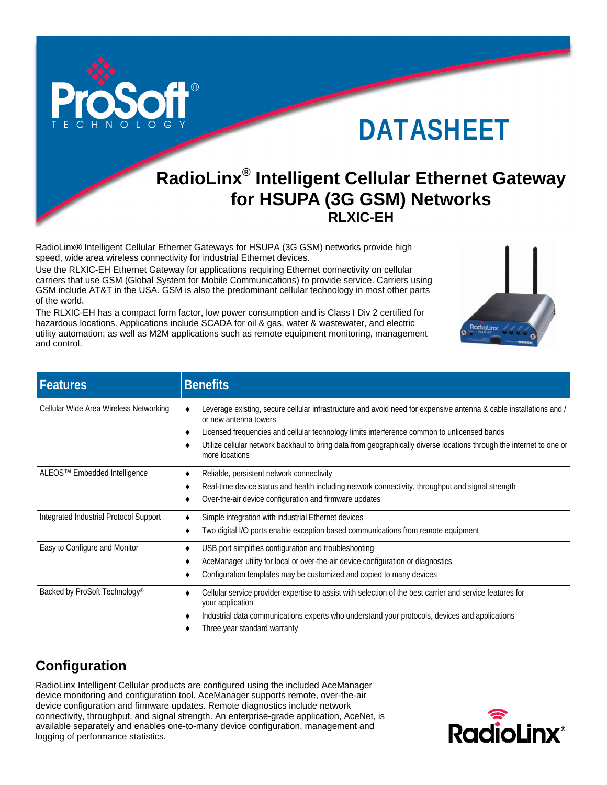

# DATASHEET

## **RadioLinx® Intelligent Cellular Ethernet Gateway for HSUPA (3G GSM) Networks RLXIC-EH**

RadioLinx® Intelligent Cellular Ethernet Gateways for HSUPA (3G GSM) networks provide high speed, wide area wireless connectivity for industrial Ethernet devices.

Use the RLXIC-EH Ethernet Gateway for applications requiring Ethernet connectivity on cellular carriers that use GSM (Global System for Mobile Communications) to provide service. Carriers using GSM include AT&T in the USA. GSM is also the predominant cellular technology in most other parts of the world.

The RLXIC-EH has a compact form factor, low power consumption and is Class I Div 2 certified for hazardous locations. Applications include SCADA for oil & gas, water & wastewater, and electric utility automation; as well as M2M applications such as remote equipment monitoring, management and control.



| Features                                  | <b>Benefits</b>                                                                                                                                                                                                                                                                                                                                                                      |
|-------------------------------------------|--------------------------------------------------------------------------------------------------------------------------------------------------------------------------------------------------------------------------------------------------------------------------------------------------------------------------------------------------------------------------------------|
| Cellular Wide Area Wireless Networking    | Leverage existing, secure cellular infrastructure and avoid need for expensive antenna & cable installations and /<br>or new antenna towers<br>Licensed frequencies and cellular technology limits interference common to unlicensed bands<br>Utilize cellular network backhaul to bring data from geographically diverse locations through the internet to one or<br>more locations |
| ALEOS™ Embedded Intelligence              | Reliable, persistent network connectivity<br>Real-time device status and health including network connectivity, throughput and signal strength<br>Over-the-air device configuration and firmware updates                                                                                                                                                                             |
| Integrated Industrial Protocol Support    | Simple integration with industrial Ethernet devices<br>Two digital I/O ports enable exception based communications from remote equipment                                                                                                                                                                                                                                             |
| Easy to Configure and Monitor             | USB port simplifies configuration and troubleshooting<br>AceManager utility for local or over-the-air device configuration or diagnostics<br>Configuration templates may be customized and copied to many devices                                                                                                                                                                    |
| Backed by ProSoft Technology <sup>®</sup> | Cellular service provider expertise to assist with selection of the best carrier and service features for<br>your application<br>Industrial data communications experts who understand your protocols, devices and applications<br>Three year standard warranty                                                                                                                      |

### **Configuration**

RadioLinx Intelligent Cellular products are configured using the included AceManager device monitoring and configuration tool. AceManager supports remote, over-the-air device configuration and firmware updates. Remote diagnostics include network connectivity, throughput, and signal strength. An enterprise-grade application, AceNet, is available separately and enables one-to-many device configuration, management and logging of performance statistics.